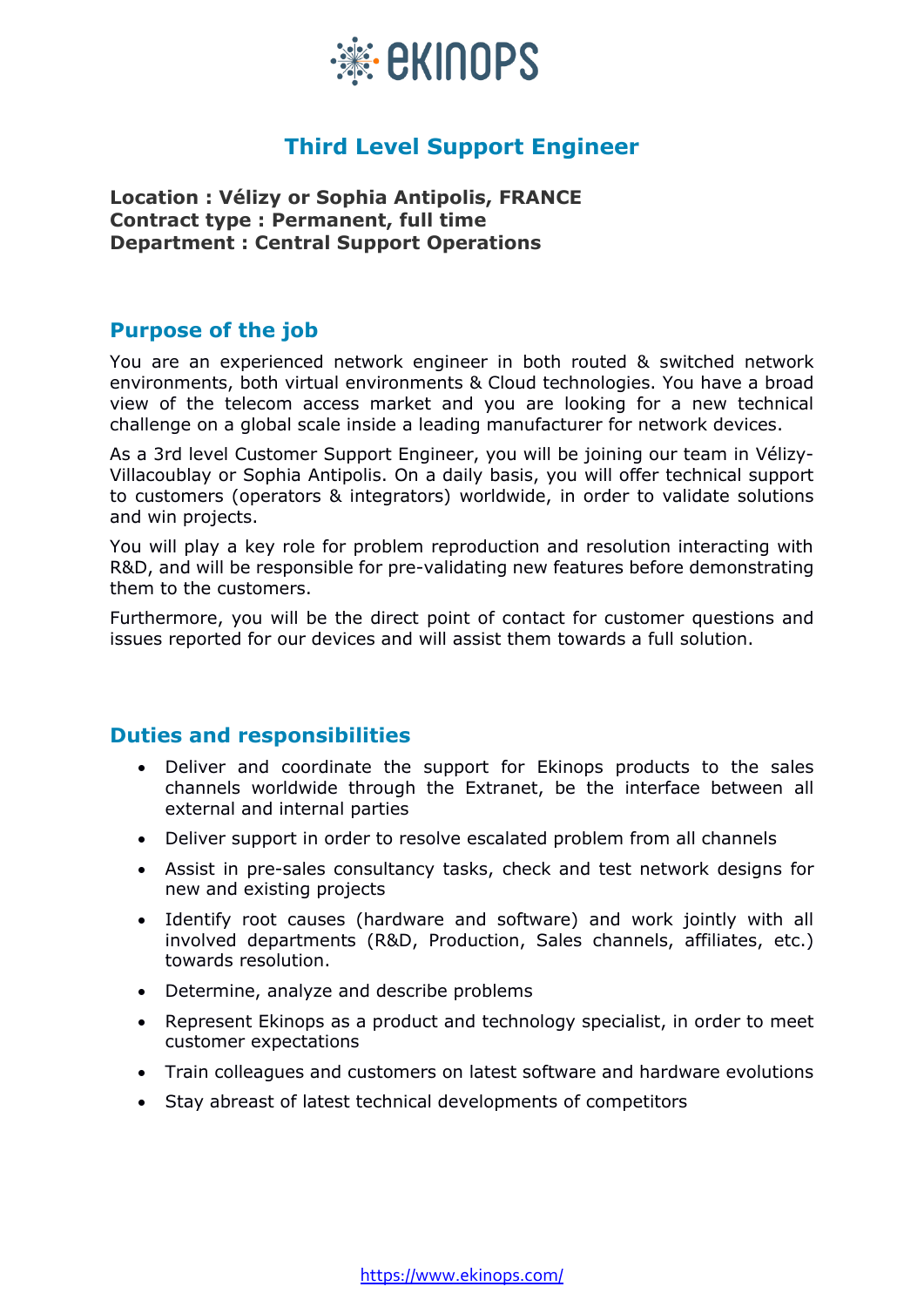

# **Third Level Support Engineer**

**Location : Vélizy or Sophia Antipolis, FRANCE Contract type : Permanent, full time Department : Central Support Operations**

## **Purpose of the job**

You are an experienced network engineer in both routed & switched network environments, both virtual environments & Cloud technologies. You have a broad view of the telecom access market and you are looking for a new technical challenge on a global scale inside a leading manufacturer for network devices.

As a 3rd level Customer Support Engineer, you will be joining our team in Vélizy-Villacoublay or Sophia Antipolis. On a daily basis, you will offer technical support to customers (operators & integrators) worldwide, in order to validate solutions and win projects.

You will play a key role for problem reproduction and resolution interacting with R&D, and will be responsible for pre-validating new features before demonstrating them to the customers.

Furthermore, you will be the direct point of contact for customer questions and issues reported for our devices and will assist them towards a full solution.

## **Duties and responsibilities**

- Deliver and coordinate the support for Ekinops products to the sales channels worldwide through the Extranet, be the interface between all external and internal parties
- Deliver support in order to resolve escalated problem from all channels
- Assist in pre-sales consultancy tasks, check and test network designs for new and existing projects
- Identify root causes (hardware and software) and work jointly with all involved departments (R&D, Production, Sales channels, affiliates, etc.) towards resolution.
- Determine, analyze and describe problems
- Represent Ekinops as a product and technology specialist, in order to meet customer expectations
- Train colleagues and customers on latest software and hardware evolutions
- Stay abreast of latest technical developments of competitors